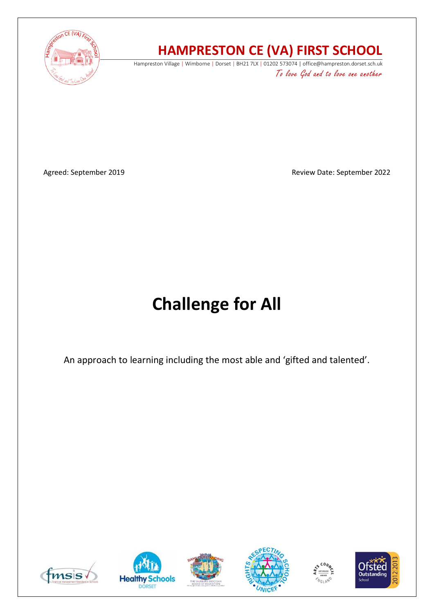

## **HAMPRESTON CE (VA) FIRST SCHOOL**

Hampreston Village | Wimborne | Dorset | BH21 7LX | 01202 573074 | office@hampreston.dorset.sch.uk To love God and to love one another

Agreed: September 2019 **Agreed: September 2022 Review Date: September 2022** 

# **Challenge for All**

An approach to learning including the most able and 'gifted and talented'.











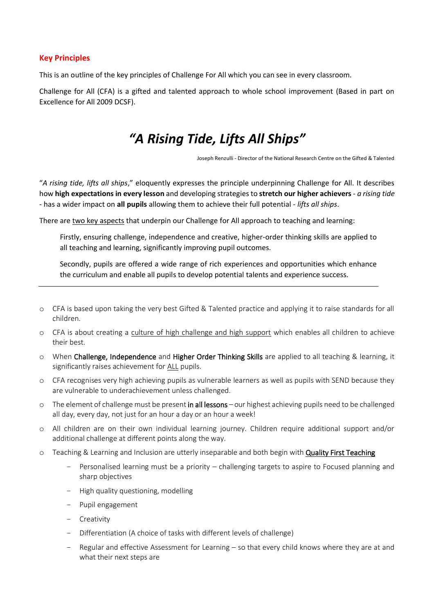#### **Key Principles**

This is an outline of the key principles of Challenge For All which you can see in every classroom.

Challenge for All (CFA) is a gifted and talented approach to whole school improvement (Based in part on Excellence for All 2009 DCSF).

### *"A Rising Tide, Lifts All Ships"*

Joseph Renzulli - Director of the National Research Centre on the Gifted & Talented

"*A rising tide, lifts all ships*," eloquently expresses the principle underpinning Challenge for All. It describes how **high expectations in every lesson** and developing strategies to **stretch our higher achievers** - *a rising tide* - has a wider impact on **all pupils** allowing them to achieve their full potential - *lifts all ships*.

There are two key aspects that underpin our Challenge for All approach to teaching and learning:

Firstly, ensuring challenge, independence and creative, higher-order thinking skills are applied to all teaching and learning, significantly improving pupil outcomes.

Secondly, pupils are offered a wide range of rich experiences and opportunities which enhance the curriculum and enable all pupils to develop potential talents and experience success.

- o CFA is based upon taking the very best Gifted & Talented practice and applying it to raise standards for all children.
- o CFA is about creating a culture of high challenge and high support which enables all children to achieve their best.
- o When Challenge, Independence and Higher Order Thinking Skills are applied to all teaching & learning, it significantly raises achievement for ALL pupils.
- o CFA recognises very high achieving pupils as vulnerable learners as well as pupils with SEND because they are vulnerable to underachievement unless challenged.
- $\circ$  The element of challenge must be present in all lessons our highest achieving pupils need to be challenged all day, every day, not just for an hour a day or an hour a week!
- o All children are on their own individual learning journey. Children require additional support and/or additional challenge at different points along the way.
- o Teaching & Learning and Inclusion are utterly inseparable and both begin with Quality First Teaching
	- Personalised learning must be a priority challenging targets to aspire to Focused planning and sharp objectives
	- High quality questioning, modelling
	- Pupil engagement
	- Creativity
	- Differentiation (A choice of tasks with different levels of challenge)
	- Regular and effective Assessment for Learning so that every child knows where they are at and what their next steps are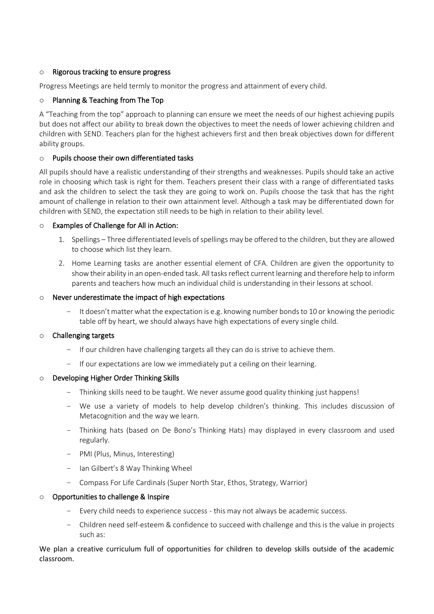#### o Rigorous tracking to ensure progress

Progress Meetings are held termly to monitor the progress and attainment of every child.

#### o Planning & Teaching from The Top

A "Teaching from the top" approach to planning can ensure we meet the needs of our highest achieving pupils but does not affect our ability to break down the objectives to meet the needs of lower achieving children and children with SEND. Teachers plan for the highest achievers first and then break objectives down for different ability groups.

#### o Pupils choose their own differentiated tasks

All pupils should have a realistic understanding of their strengths and weaknesses. Pupils should take an active role in choosing which task is right for them. Teachers present their class with a range of differentiated tasks and ask the children to select the task they are going to work on. Pupils choose the task that has the right amount of challenge in relation to their own attainment level. Although a task may be differentiated down for children with SEND, the expectation still needs to be high in relation to their ability level.

#### o Examples of Challenge for All in Action:

- 1. Spellings Three differentiated levels of spellings may be offered to the children, but they are allowed to choose which list they learn.
- 2. Home Learning tasks are another essential element of CFA. Children are given the opportunity to show their ability in an open-ended task. All tasks reflect current learning and therefore help to inform parents and teachers how much an individual child is understanding in their lessons at school.

#### o Never underestimate the impact of high expectations

– It doesn't matter what the expectation is e.g. knowing number bonds to 10 or knowing the periodic table off by heart, we should always have high expectations of every single child.

#### o Challenging targets

- If our children have challenging targets all they can do is strive to achieve them.
- If our expectations are low we immediately put a ceiling on their learning.

#### Developing Higher Order Thinking Skills

- Thinking skills need to be taught. We never assume good quality thinking just happens!
- We use a variety of models to help develop children's thinking. This includes discussion of Metacognition and the way we learn.
- Thinking hats (based on De Bono's Thinking Hats) may displayed in every classroom and used regularly.
- PMI (Plus, Minus, Interesting)
- Ian Gilbert's 8 Way Thinking Wheel
- Compass For Life Cardinals (Super North Star, Ethos, Strategy, Warrior)

#### o Opportunities to challenge & Inspire

- Every child needs to experience success this may not always be academic success.
- Children need self-esteem & confidence to succeed with challenge and this is the value in projects such as:

We plan a creative curriculum full of opportunities for children to develop skills outside of the academic classroom.